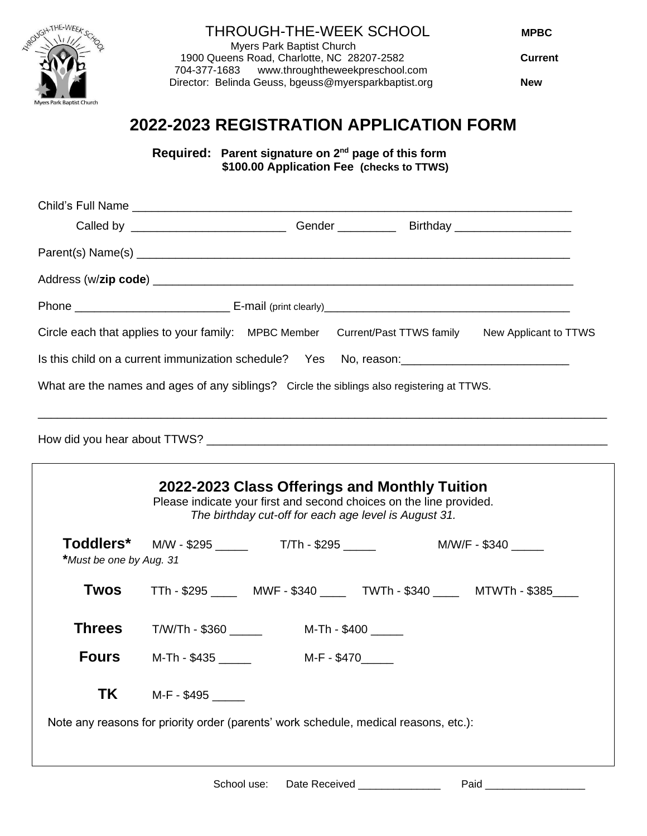

## THROUGH-THE-WEEK SCHOOL **MPBC**

 Myers Park Baptist Church 1900 Queens Road, Charlotte, NC 28207-2582 **Current** [www.throughtheweekpreschool.com](http://www.throughtheweekpreschool.com/) Director: Belinda Geuss, bgeuss@myersparkbaptist.org **New**

# **2022-2023 REGISTRATION APPLICATION FORM**

**Required: Parent signature on 2nd page of this form \$100.00 Application Fee (checks to TTWS)**

|                                                                                                     | Gender ______________Birthday _________________________ |                       |
|-----------------------------------------------------------------------------------------------------|---------------------------------------------------------|-----------------------|
|                                                                                                     |                                                         |                       |
|                                                                                                     |                                                         |                       |
|                                                                                                     |                                                         |                       |
| Circle each that applies to your family: MPBC Member Current/Past TTWS family                       |                                                         | New Applicant to TTWS |
| Is this child on a current immunization schedule? Yes No, reason: _________________________________ |                                                         |                       |
| What are the names and ages of any siblings? Circle the siblings also registering at TTWS.          |                                                         |                       |
|                                                                                                     |                                                         |                       |

How did you hear about TTWS? \_\_\_\_\_\_\_\_\_\_\_\_\_\_\_\_\_\_\_\_\_\_\_\_\_\_\_\_\_\_\_\_\_\_\_\_\_\_\_\_\_\_\_\_\_\_\_\_\_\_\_\_\_\_\_\_\_\_\_\_\_\_

 $\Gamma$ 

| 2022-2023 Class Offerings and Monthly Tuition<br>Please indicate your first and second choices on the line provided.<br>The birthday cut-off for each age level is August 31. |                                                                              |  |  |  |
|-------------------------------------------------------------------------------------------------------------------------------------------------------------------------------|------------------------------------------------------------------------------|--|--|--|
| *Must be one by Aug. 31                                                                                                                                                       | Toddlers* M/W - \$295 ______ T/Th - \$295 _____<br>M/W/F - \$340             |  |  |  |
| <b>Twos</b>                                                                                                                                                                   | TTh - \$295 _______ MWF - \$340 ______ TWTh - \$340 _____ MTWTh - \$385 ____ |  |  |  |
| <b>Threes</b>                                                                                                                                                                 | M-Th - \$400 ______<br>T/W/Th - \$360                                        |  |  |  |
|                                                                                                                                                                               | <b>Fours</b> $M-Th - $435$ _______<br>M-F - \$470                            |  |  |  |
| <b>TK</b>                                                                                                                                                                     | M-F - \$495                                                                  |  |  |  |
| Note any reasons for priority order (parents' work schedule, medical reasons, etc.):                                                                                          |                                                                              |  |  |  |
|                                                                                                                                                                               |                                                                              |  |  |  |